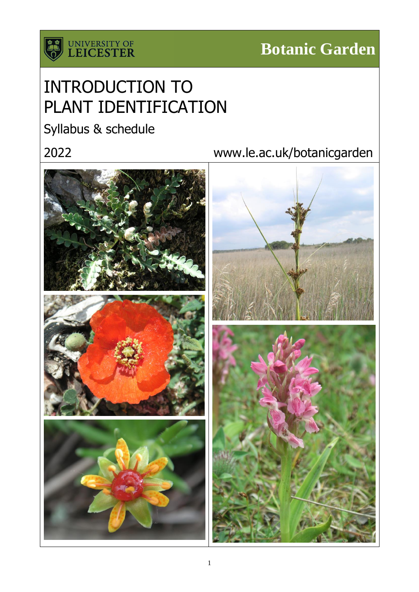

# INTRODUCTION TO PLANT IDENTIFICATION

Syllabus & schedule

# 2022 www.le.ac.uk/botanicgarden

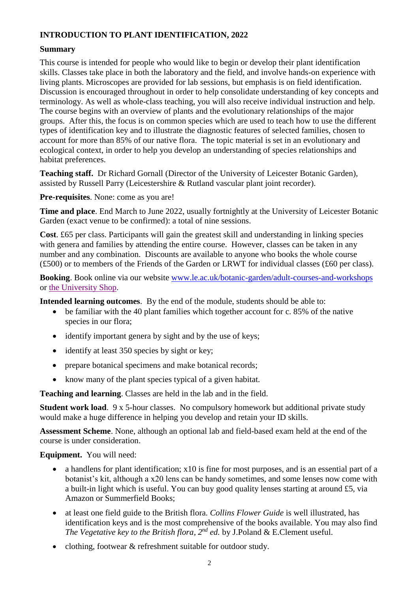# **INTRODUCTION TO PLANT IDENTIFICATION, 2022**

### **Summary**

This course is intended for people who would like to begin or develop their plant identification skills. Classes take place in both the laboratory and the field, and involve hands-on experience with living plants. Microscopes are provided for lab sessions, but emphasis is on field identification. Discussion is encouraged throughout in order to help consolidate understanding of key concepts and terminology. As well as whole-class teaching, you will also receive individual instruction and help. The course begins with an overview of plants and the evolutionary relationships of the major groups. After this, the focus is on common species which are used to teach how to use the different types of identification key and to illustrate the diagnostic features of selected families, chosen to account for more than 85% of our native flora. The topic material is set in an evolutionary and ecological context, in order to help you develop an understanding of species relationships and habitat preferences.

**Teaching staff.** Dr Richard Gornall (Director of the University of Leicester Botanic Garden), assisted by Russell Parry (Leicestershire & Rutland vascular plant joint recorder).

**Pre-requisites**. None: come as you are!

**Time and place**. End March to June 2022, usually fortnightly at the University of Leicester Botanic Garden (exact venue to be confirmed): a total of nine sessions.

**Cost**. £65 per class. Participants will gain the greatest skill and understanding in linking species with genera and families by attending the entire course. However, classes can be taken in any number and any combination. Discounts are available to anyone who books the whole course (£500) or to members of the Friends of the Garden or LRWT for individual classes (£60 per class).

**Booking**. Book online via our website [www.le.ac.uk/botanic-garden/adult-courses-and-workshops](http://www.le.ac.uk/botanic-garden/adult-courses-and-workshops) or [the University Shop.](https://shop.le.ac.uk/short-courses/courses-and-course-essentials/botanic-garden)

**Intended learning outcomes**. By the end of the module, students should be able to:

- be familiar with the 40 plant families which together account for c. 85% of the native species in our flora;
- identify important genera by sight and by the use of keys;
- identify at least 350 species by sight or key:
- prepare botanical specimens and make botanical records;
- know many of the plant species typical of a given habitat.

**Teaching and learning**. Classes are held in the lab and in the field.

**Student work load.** 9 x 5-hour classes. No compulsory homework but additional private study would make a huge difference in helping you develop and retain your ID skills.

**Assessment Scheme**. None, although an optional lab and field-based exam held at the end of the course is under consideration.

**Equipment.** You will need:

- a handlens for plant identification; x10 is fine for most purposes, and is an essential part of a botanist's kit, although a x20 lens can be handy sometimes, and some lenses now come with a built-in light which is useful. You can buy good quality lenses starting at around £5, via Amazon or Summerfield Books;
- at least one field guide to the British flora. *Collins Flower Guide* is well illustrated, has identification keys and is the most comprehensive of the books available. You may also find *The Vegetative key to the British flora, 2nd ed.* by J.Poland & E.Clement useful.
- clothing, footwear & refreshment suitable for outdoor study.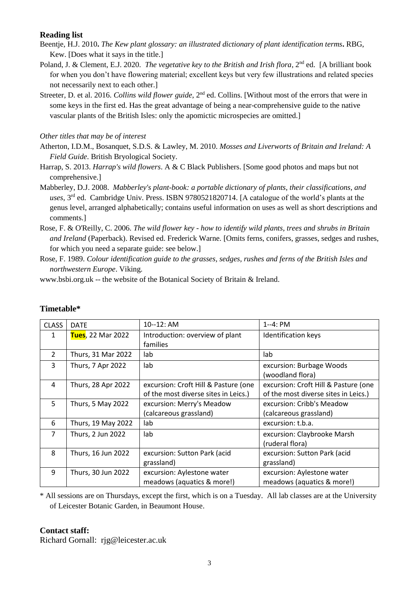#### **Reading list**

- Beentje, H.J. 2010**.** *The Kew plant glossary: an illustrated dictionary of plant identification terms***.** RBG, Kew. [Does what it says in the title.]
- Poland, J. & Clement, E.J. 2020. *The vegetative key to the British and Irish flora*, 2<sup>nd</sup> ed. [A brilliant book] for when you don't have flowering material; excellent keys but very few illustrations and related species not necessarily next to each other.]
- Streeter, D. et al. 2016. *Collins wild flower guide*, 2nd ed. Collins. [Without most of the errors that were in some keys in the first ed. Has the great advantage of being a near-comprehensive guide to the native vascular plants of the British Isles: only the apomictic microspecies are omitted.]

#### *Other titles that may be of interest*

- Atherton, I.D.M., Bosanquet, S.D.S. & Lawley, M. 2010. *Mosses and Liverworts of Britain and Ireland: A Field Guide*. British Bryological Society.
- Harrap, S. 2013. *Harrap's wild flowers*. A & C Black Publishers. [Some good photos and maps but not comprehensive.]
- Mabberley, D.J. 2008. *Mabberley's plant-book: a portable dictionary of plants, their classifications, and uses*, 3rd ed. Cambridge Univ. Press. ISBN 9780521820714. [A catalogue of the world's plants at the genus level, arranged alphabetically; contains useful information on uses as well as short descriptions and comments.]
- Rose, F. & O'Reilly, C. 2006. *The wild flower key - how to identify wild plants, trees and shrubs in Britain and Ireland* (Paperback). Revised ed. Frederick Warne. [Omits ferns, conifers, grasses, sedges and rushes, for which you need a separate guide: see below.]
- Rose, F. 1989. *Colour identification guide to the grasses, sedges, rushes and ferns of the British Isles and northwestern Europe*. Viking.

www.bsbi.org.uk -- the website of the Botanical Society of Britain & Ireland.

| <b>CLASS</b>   | <b>DATE</b>        | 10--12: AM                           | $1 - 4$ : PM                         |
|----------------|--------------------|--------------------------------------|--------------------------------------|
| 1              | Tues, 22 Mar 2022  | Introduction: overview of plant      | <b>Identification keys</b>           |
|                |                    | families                             |                                      |
| $\mathcal{L}$  | Thurs, 31 Mar 2022 | lab                                  | lab                                  |
| 3              | Thurs, 7 Apr 2022  | lab                                  | excursion: Burbage Woods             |
|                |                    |                                      | (woodland flora)                     |
| 4              | Thurs, 28 Apr 2022 | excursion: Croft Hill & Pasture (one | excursion: Croft Hill & Pasture (one |
|                |                    | of the most diverse sites in Leics.) | of the most diverse sites in Leics.) |
| 5              | Thurs, 5 May 2022  | excursion: Merry's Meadow            | excursion: Cribb's Meadow            |
|                |                    | (calcareous grassland)               | (calcareous grassland)               |
| 6              | Thurs, 19 May 2022 | lab                                  | excursion: t.b.a.                    |
| $\overline{7}$ | Thurs, 2 Jun 2022  | lab                                  | excursion: Claybrooke Marsh          |
|                |                    |                                      | (ruderal flora)                      |
| 8              | Thurs, 16 Jun 2022 | excursion: Sutton Park (acid         | excursion: Sutton Park (acid         |
|                |                    | grassland)                           | grassland)                           |
| 9              | Thurs, 30 Jun 2022 | excursion: Aylestone water           | excursion: Aylestone water           |
|                |                    | meadows (aquatics & more!)           | meadows (aquatics & more!)           |

# **Timetable\***

\* All sessions are on Thursdays, except the first, which is on a Tuesday. All lab classes are at the University of Leicester Botanic Garden, in Beaumont House.

### **Contact staff:**

Richard Gornall: rjg@leicester.ac.uk